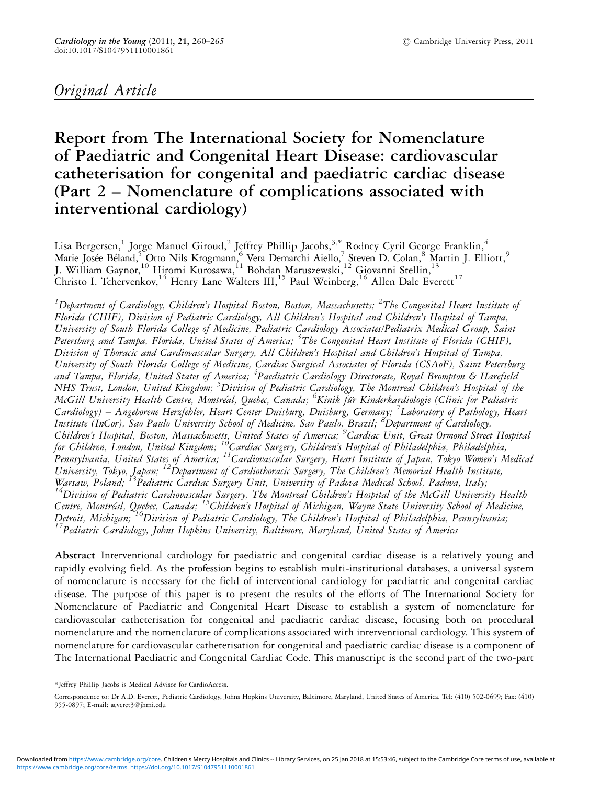# Original Article

# Report from The International Society for Nomenclature of Paediatric and Congenital Heart Disease: cardiovascular catheterisation for congenital and paediatric cardiac disease (Part 2 – Nomenclature of complications associated with interventional cardiology)

Lisa Bergersen, $^1$  Jorge Manuel Giroud, $^2$  Jeffrey Phillip Jacobs, $^{3,*}$  Rodney Cyril George Franklin, $^4$ Marie Josée Béland,<sup>5</sup> Otto Nils Krogmann,<sup>6</sup> Vera Demarchi Aiello,<sup>7</sup> Steven D. Colan,<sup>8</sup> Martin J. Elliott,<sup>9</sup> J. William Gaynor,<sup>10</sup> Hiromi Kurosawa,<sup>11</sup> Bohdan Maruszewski,<sup>12</sup> Giovanni Stellin,<sup>13</sup> Christo I. Tchervenkov,<sup>14</sup> Henry Lane Walters III,<sup>15</sup> Paul Weinberg,<sup>16</sup> Allen Dale Everett<sup>17</sup>

 $^1$ Department of Cardiology, Children's Hospital Boston, Boston, Massachusetts;  $^2$ The Congenital Heart Institute of Florida (CHIF), Division of Pediatric Cardiology, All Children's Hospital and Children's Hospital of Tampa, University of South Florida College of Medicine, Pediatric Cardiology Associates/Pediatrix Medical Group, Saint Petersburg and Tampa, Florida, United States of America; <sup>3</sup>The Congenital Heart Institute of Florida (CHIF), Division of Thoracic and Cardiovascular Surgery, All Children's Hospital and Children's Hospital of Tampa, University of South Florida College of Medicine, Cardiac Surgical Associates of Florida (CSAoF), Saint Petersburg and Tampa, Florida, United States of America; <sup>4</sup>Paediatric Cardiology Directorate, Royal Brompton & Harefiela NHS Trust, London, United Kingdom; <sup>5</sup>Division of Pediatric Cardiology, The Montreal Children's Hospital of the McGill University Health Centre, Montréal, Quebec, Canada; <sup>6</sup>Kinik für Kinderkardiologie (Clinic for Pediatric Cardiology) – Angeborene Herzfehler, Heart Center Duisburg, Duisburg, Germany; <sup>7</sup>Laboratory of Pathology, Heart Institute (InCor), Sao Paulo University School of Medicine, Sao Paulo, Brazil; <sup>8</sup> Department of Cardiology, Children's Hospital, Boston, Massachusetts, United States of America; <sup>9</sup>Cardiac Unit, Great Ormond Street Hospital for Children, London, United Kingdom; <sup>16</sup>Cardiac Surgery, Children's Hospital of Philadelphia, Philadelphia, ,<br>Pennsylvania, United States of America; <sup>11</sup>Cardiovascular Surgery, Heart Institute of Japan, Tokyo Women's Medical University, Tokyo, Japan; <sup>12</sup>Department of Cardiothoracic Surgery, The Children's Memorial Health Institute,<br>Warsaw, Poland; <sup>13</sup>Pediatric Cardiac Surgery Unit, University of Padova Medical School, Padova, Italy;  $14$ Division of Pediatric Cardiovascular Surgery, The Montreal Children's Hospital of the McGill University Health Centre, Montréal, Quebec, Canada; <sup>15</sup>Children's Hospital of Michigan, Wayne State University School of Medicine, Detroit, Michigan; <sup>16</sup>Division of Pediatric Cardiology, The Children's Hospital of Philadelphia, Pennsylvania;<br><sup>17</sup>Pediatric Cardiology, Johns Hopkins University, Baltimore, Maryland, United States of America

Abstract Interventional cardiology for paediatric and congenital cardiac disease is a relatively young and rapidly evolving field. As the profession begins to establish multi-institutional databases, a universal system of nomenclature is necessary for the field of interventional cardiology for paediatric and congenital cardiac disease. The purpose of this paper is to present the results of the efforts of The International Society for Nomenclature of Paediatric and Congenital Heart Disease to establish a system of nomenclature for cardiovascular catheterisation for congenital and paediatric cardiac disease, focusing both on procedural nomenclature and the nomenclature of complications associated with interventional cardiology. This system of nomenclature for cardiovascular catheterisation for congenital and paediatric cardiac disease is a component of The International Paediatric and Congenital Cardiac Code. This manuscript is the second part of the two-part

<sup>\*</sup>Jeffrey Phillip Jacobs is Medical Advisor for CardioAccess.

Correspondence to: Dr A.D. Everett, Pediatric Cardiology, Johns Hopkins University, Baltimore, Maryland, United States of America. Tel: (410) 502-0699; Fax: (410) 955-0897; E-mail: aeveret3@jhmi.edu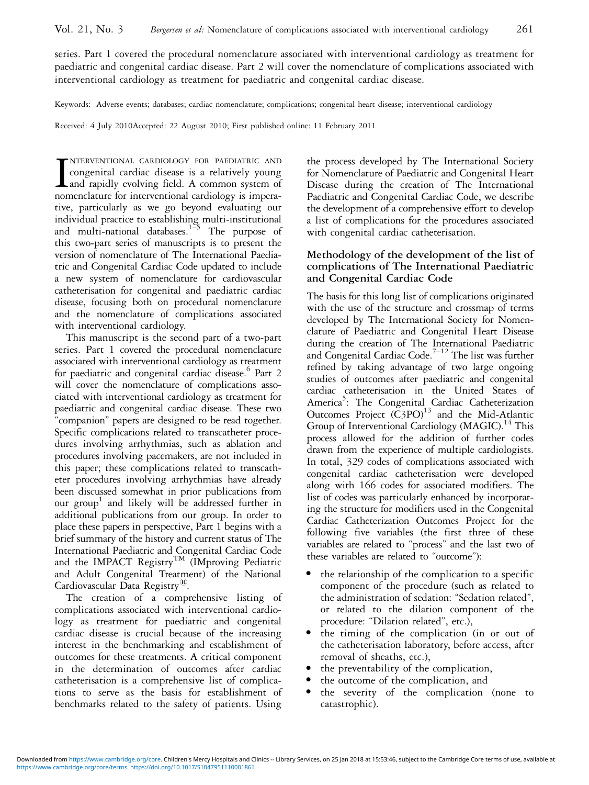series. Part 1 covered the procedural nomenclature associated with interventional cardiology as treatment for paediatric and congenital cardiac disease. Part 2 will cover the nomenclature of complications associated with interventional cardiology as treatment for paediatric and congenital cardiac disease.

Keywords: Adverse events; databases; cardiac nomenclature; complications; congenital heart disease; interventional cardiology

Received: 4 July 2010Accepted: 22 August 2010; First published online: 11 February 2011

I<sub>non</sub> NTERVENTIONAL CARDIOLOGY FOR PAEDIATRIC AND congenital cardiac disease is a relatively young and rapidly evolving field. A common system of nomenclature for interventional cardiology is imperative, particularly as we go beyond evaluating our individual practice to establishing multi-institutional and multi-national databases.<sup>1–5</sup> The purpose of this two-part series of manuscripts is to present the version of nomenclature of The International Paediatric and Congenital Cardiac Code updated to include a new system of nomenclature for cardiovascular catheterisation for congenital and paediatric cardiac disease, focusing both on procedural nomenclature and the nomenclature of complications associated with interventional cardiology.

This manuscript is the second part of a two-part series. Part 1 covered the procedural nomenclature associated with interventional cardiology as treatment for paediatric and congenital cardiac disease.<sup>6</sup> Part 2 will cover the nomenclature of complications associated with interventional cardiology as treatment for paediatric and congenital cardiac disease. These two ''companion'' papers are designed to be read together. Specific complications related to transcatheter procedures involving arrhythmias, such as ablation and procedures involving pacemakers, are not included in this paper; these complications related to transcatheter procedures involving arrhythmias have already been discussed somewhat in prior publications from our group <sup>1</sup> and likely will be addressed further in additional publications from our group. In order to place these papers in perspective, Part 1 begins with a brief summary of the history and current status of The International Paediatric and Congenital Cardiac Code and the IMPACT Registry<sup>TM</sup> (IMproving Pediatric and Adult Congenital Treatment) of the National Cardiovascular Data Registry<sup> $\mathbb{R}$ </sup>.

The creation of a comprehensive listing of complications associated with interventional cardiology as treatment for paediatric and congenital cardiac disease is crucial because of the increasing interest in the benchmarking and establishment of outcomes for these treatments. A critical component in the determination of outcomes after cardiac catheterisation is a comprehensive list of complications to serve as the basis for establishment of benchmarks related to the safety of patients. Using

the process developed by The International Society for Nomenclature of Paediatric and Congenital Heart Disease during the creation of The International Paediatric and Congenital Cardiac Code, we describe the development of a comprehensive effort to develop a list of complications for the procedures associated with congenital cardiac catheterisation.

## Methodology of the development of the list of complications of The International Paediatric and Congenital Cardiac Code

The basis for this long list of complications originated with the use of the structure and crossmap of terms developed by The International Society for Nomenclature of Paediatric and Congenital Heart Disease during the creation of The International Paediatric and Congenital Cardiac Code.<sup>7-12</sup> The list was further refined by taking advantage of two large ongoing studies of outcomes after paediatric and congenital cardiac catheterisation in the United States of America<sup>5</sup>: The Congenital Cardiac Catheterization Outcomes Project  $(C3PO)^{13}$  and the Mid-Atlantic Group of Interventional Cardiology (MAGIC).<sup>14</sup> This process allowed for the addition of further codes drawn from the experience of multiple cardiologists. In total, 329 codes of complications associated with congenital cardiac catheterisation were developed along with 166 codes for associated modifiers. The list of codes was particularly enhanced by incorporating the structure for modifiers used in the Congenital Cardiac Catheterization Outcomes Project for the following five variables (the first three of these variables are related to "process" and the last two of these variables are related to ''outcome''):

- the relationship of the complication to a specific component of the procedure (such as related to the administration of sedation: ''Sedation related'', or related to the dilation component of the procedure: "Dilation related", etc.),
- the timing of the complication (in or out of the catheterisation laboratory, before access, after removal of sheaths, etc.),
- <sup>&</sup>gt; the preventability of the complication,
- the outcome of the complication, and<br>• the severity of the complication
- the severity of the complication (none to catastrophic).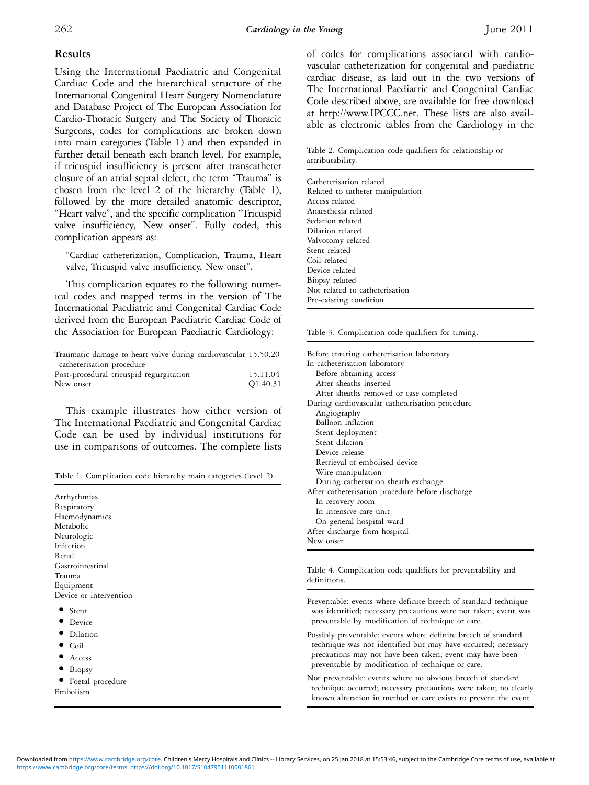## Results

Using the International Paediatric and Congenital Cardiac Code and the hierarchical structure of the International Congenital Heart Surgery Nomenclature and Database Project of The European Association for Cardio-Thoracic Surgery and The Society of Thoracic Surgeons, codes for complications are broken down into main categories (Table 1) and then expanded in further detail beneath each branch level. For example, if tricuspid insufficiency is present after transcatheter closure of an atrial septal defect, the term ''Trauma'' is chosen from the level 2 of the hierarchy (Table 1), followed by the more detailed anatomic descriptor, ''Heart valve'', and the specific complication ''Tricuspid valve insufficiency, New onset''. Fully coded, this complication appears as:

''Cardiac catheterization, Complication, Trauma, Heart valve, Tricuspid valve insufficiency, New onset''.

This complication equates to the following numerical codes and mapped terms in the version of The International Paediatric and Congenital Cardiac Code derived from the European Paediatric Cardiac Code of the Association for European Paediatric Cardiology:

| Traumatic damage to heart valve during cardiovascular 15.50.20 |                      |
|----------------------------------------------------------------|----------------------|
| catheterisation procedure                                      |                      |
| Post-procedural tricuspid regurgitation                        | 15.11.04             |
| New onset                                                      | O <sub>1.40.31</sub> |

This example illustrates how either version of The International Paediatric and Congenital Cardiac Code can be used by individual institutions for use in comparisons of outcomes. The complete lists

Table 1. Complication code hierarchy main categories (level 2).

Arrhythmias Respiratory Haemodynamics Metabolic Neurologic Infection Renal Gastrointestinal Trauma Equipment Device or intervention

- <sup>&</sup>gt; Stent
- Device
- <sup>&</sup>gt; Dilation
- <sup>&</sup>gt; Coil
- <sup>&</sup>gt; Access
- <sup>&</sup>gt; Biopsy
- <sup>&</sup>gt; Foetal procedure

Embolism

of codes for complications associated with cardiovascular catheterization for congenital and paediatric cardiac disease, as laid out in the two versions of The International Paediatric and Congenital Cardiac Code described above, are available for free download at http://www.IPCCC.net. These lists are also available as electronic tables from the Cardiology in the

Table 2. Complication code qualifiers for relationship or attributability.

#### Table 3. Complication code qualifiers for timing.

Before entering catheterisation laboratory In catheterisation laboratory Before obtaining access After sheaths inserted After sheaths removed or case completed During cardiovascular catheterisation procedure Angiography Balloon inflation Stent deployment Stent dilation Device release Retrieval of embolised device Wire manipulation During cathersation sheath exchange After catheterisation procedure before discharge In recovery room In intensive care unit On general hospital ward After discharge from hospital New onset

Table 4. Complication code qualifiers for preventability and definitions.

Preventable: events where definite breech of standard technique was identified; necessary precautions were not taken; event was preventable by modification of technique or care.

- Possibly preventable: events where definite breech of standard technique was not identified but may have occurred; necessary precautions may not have been taken; event may have been preventable by modification of technique or care.
- Not preventable: events where no obvious breech of standard technique occurred; necessary precautions were taken; no clearly known alteration in method or care exists to prevent the event.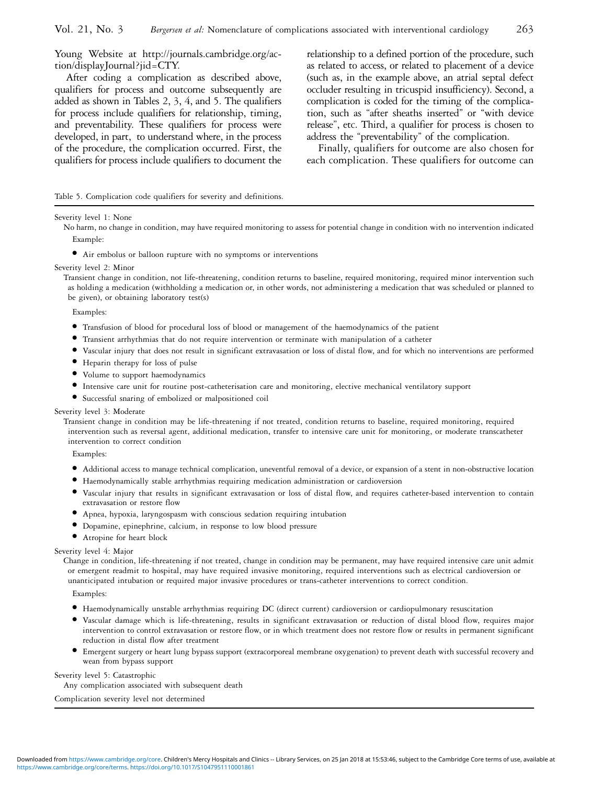Young Website at http://journals.cambridge.org/action/displayJournal?jid=CTY.

After coding a complication as described above, qualifiers for process and outcome subsequently are added as shown in Tables 2, 3, 4, and 5. The qualifiers for process include qualifiers for relationship, timing, and preventability. These qualifiers for process were developed, in part, to understand where, in the process of the procedure, the complication occurred. First, the qualifiers for process include qualifiers to document the relationship to a defined portion of the procedure, such as related to access, or related to placement of a device (such as, in the example above, an atrial septal defect occluder resulting in tricuspid insufficiency). Second, a complication is coded for the timing of the complication, such as ''after sheaths inserted'' or ''with device release'', etc. Third, a qualifier for process is chosen to address the ''preventability'' of the complication.

Finally, qualifiers for outcome are also chosen for each complication. These qualifiers for outcome can

#### Table 5. Complication code qualifiers for severity and definitions.

#### Severity level 1: None

No harm, no change in condition, may have required monitoring to assess for potential change in condition with no intervention indicated Example:

<sup>&</sup>gt; Air embolus or balloon rupture with no symptoms or interventions

#### Severity level 2: Minor

Transient change in condition, not life-threatening, condition returns to baseline, required monitoring, required minor intervention such as holding a medication (withholding a medication or, in other words, not administering a medication that was scheduled or planned to be given), or obtaining laboratory test(s)

Examples:

- <sup>&</sup>gt; Transfusion of blood for procedural loss of blood or management of the haemodynamics of the patient
- <sup>&</sup>gt; Transient arrhythmias that do not require intervention or terminate with manipulation of a catheter
- <sup>&</sup>gt; Vascular injury that does not result in significant extravasation or loss of distal flow, and for which no interventions are performed
- <sup>&</sup>gt; Heparin therapy for loss of pulse
- Volume to support haemodynamics
- <sup>&</sup>gt; Intensive care unit for routine post-catheterisation care and monitoring, elective mechanical ventilatory support
- <sup>&</sup>gt; Successful snaring of embolized or malpositioned coil

#### Severity level 3: Moderate

Transient change in condition may be life-threatening if not treated, condition returns to baseline, required monitoring, required intervention such as reversal agent, additional medication, transfer to intensive care unit for monitoring, or moderate transcatheter intervention to correct condition

Examples:

- <sup>&</sup>gt; Additional access to manage technical complication, uneventful removal of a device, or expansion of a stent in non-obstructive location
- <sup>&</sup>gt; Haemodynamically stable arrhythmias requiring medication administration or cardioversion
- <sup>&</sup>gt; Vascular injury that results in significant extravasation or loss of distal flow, and requires catheter-based intervention to contain extravasation or restore flow
- <sup>&</sup>gt; Apnea, hypoxia, laryngospasm with conscious sedation requiring intubation
- <sup>&</sup>gt; Dopamine, epinephrine, calcium, in response to low blood pressure
- <sup>&</sup>gt; Atropine for heart block

#### Severity level 4: Major

Change in condition, life-threatening if not treated, change in condition may be permanent, may have required intensive care unit admit or emergent readmit to hospital, may have required invasive monitoring, required interventions such as electrical cardioversion or unanticipated intubation or required major invasive procedures or trans-catheter interventions to correct condition.

Examples:

- <sup>&</sup>gt; Haemodynamically unstable arrhythmias requiring DC (direct current) cardioversion or cardiopulmonary resuscitation
- <sup>&</sup>gt; Vascular damage which is life-threatening, results in significant extravasation or reduction of distal blood flow, requires major intervention to control extravasation or restore flow, or in which treatment does not restore flow or results in permanent significant reduction in distal flow after treatment
- <sup>&</sup>gt; Emergent surgery or heart lung bypass support (extracorporeal membrane oxygenation) to prevent death with successful recovery and wean from bypass support

#### Severity level 5: Catastrophic

Any complication associated with subsequent death

Complication severity level not determined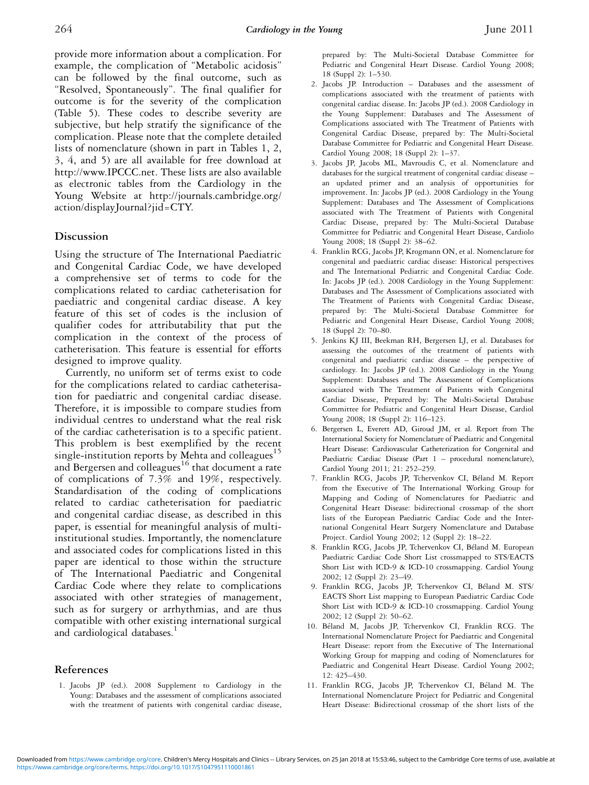provide more information about a complication. For example, the complication of ''Metabolic acidosis'' can be followed by the final outcome, such as "Resolved, Spontaneously". The final qualifier for outcome is for the severity of the complication (Table 5). These codes to describe severity are subjective, but help stratify the significance of the complication. Please note that the complete detailed lists of nomenclature (shown in part in Tables 1, 2, 3, 4, and 5) are all available for free download at http://www.IPCCC.net. These lists are also available as electronic tables from the Cardiology in the Young Website at http://journals.cambridge.org/ action/displayJournal?jid=CTY.

### Discussion

Using the structure of The International Paediatric and Congenital Cardiac Code, we have developed a comprehensive set of terms to code for the complications related to cardiac catheterisation for paediatric and congenital cardiac disease. A key feature of this set of codes is the inclusion of qualifier codes for attributability that put the complication in the context of the process of catheterisation. This feature is essential for efforts designed to improve quality.

Currently, no uniform set of terms exist to code for the complications related to cardiac catheterisation for paediatric and congenital cardiac disease. Therefore, it is impossible to compare studies from individual centres to understand what the real risk of the cardiac catheterisation is to a specific patient. This problem is best exemplified by the recent single-institution reports by Mehta and colleagues<sup>15</sup> and Bergersen and colleagues<sup>16</sup> that document a rate of complications of 7.3% and 19%, respectively. Standardisation of the coding of complications related to cardiac catheterisation for paediatric and congenital cardiac disease, as described in this paper, is essential for meaningful analysis of multiinstitutional studies. Importantly, the nomenclature and associated codes for complications listed in this paper are identical to those within the structure of The International Paediatric and Congenital Cardiac Code where they relate to complications associated with other strategies of management, such as for surgery or arrhythmias, and are thus compatible with other existing international surgical and cardiological databases.<sup>1</sup>

### References

1. Jacobs JP (ed.). 2008 Supplement to Cardiology in the Young: Databases and the assessment of complications associated with the treatment of patients with congenital cardiac disease, prepared by: The Multi-Societal Database Committee for Pediatric and Congenital Heart Disease. Cardiol Young 2008; 18 (Suppl 2): 1–530.

- 2. Jacobs JP. Introduction Databases and the assessment of complications associated with the treatment of patients with congenital cardiac disease. In: Jacobs JP (ed.). 2008 Cardiology in the Young Supplement: Databases and The Assessment of Complications associated with The Treatment of Patients with Congenital Cardiac Disease, prepared by: The Multi-Societal Database Committee for Pediatric and Congenital Heart Disease. Cardiol Young 2008; 18 (Suppl 2): 1–37.
- 3. Jacobs JP, Jacobs ML, Mavroudis C, et al. Nomenclature and databases for the surgical treatment of congenital cardiac disease – an updated primer and an analysis of opportunities for improvement. In: Jacobs JP (ed.). 2008 Cardiology in the Young Supplement: Databases and The Assessment of Complications associated with The Treatment of Patients with Congenital Cardiac Disease, prepared by: The Multi-Societal Database Committee for Pediatric and Congenital Heart Disease, Cardiolo Young 2008; 18 (Suppl 2): 38–62.
- 4. Franklin RCG, Jacobs JP, Krogmann ON, et al. Nomenclature for congenital and paediatric cardiac disease: Historical perspectives and The International Pediatric and Congenital Cardiac Code. In: Jacobs JP (ed.). 2008 Cardiology in the Young Supplement: Databases and The Assessment of Complications associated with The Treatment of Patients with Congenital Cardiac Disease, prepared by: The Multi-Societal Database Committee for Pediatric and Congenital Heart Disease, Cardiol Young 2008; 18 (Suppl 2): 70–80.
- 5. Jenkins KJ III, Beekman RH, Bergersen LJ, et al. Databases for assessing the outcomes of the treatment of patients with congenital and paediatric cardiac disease – the perspective of cardiology. In: Jacobs JP (ed.). 2008 Cardiology in the Young Supplement: Databases and The Assessment of Complications associated with The Treatment of Patients with Congenital Cardiac Disease, Prepared by: The Multi-Societal Database Committee for Pediatric and Congenital Heart Disease, Cardiol Young 2008; 18 (Suppl 2): 116–123.
- 6. Bergersen L, Everett AD, Giroud JM, et al. Report from The International Society for Nomenclature of Paediatric and Congenital Heart Disease: Cardiovascular Catheterization for Congenital and Paediatric Cardiac Disease (Part 1 – procedural nomenclature), Cardiol Young 2011; 21: 252–259.
- 7. Franklin RCG, Jacobs JP, Tchervenkov CI, Béland M. Report from the Executive of The International Working Group for Mapping and Coding of Nomenclatures for Paediatric and Congenital Heart Disease: bidirectional crossmap of the short lists of the European Paediatric Cardiac Code and the International Congenital Heart Surgery Nomenclature and Database Project. Cardiol Young 2002; 12 (Suppl 2): 18–22.
- 8. Franklin RCG, Jacobs JP, Tchervenkov CI, Béland M. European Paediatric Cardiac Code Short List crossmapped to STS/EACTS Short List with ICD-9 & ICD-10 crossmapping. Cardiol Young 2002; 12 (Suppl 2): 23–49.
- 9. Franklin RCG, Jacobs JP, Tchervenkov CI, Béland M. STS/ EACTS Short List mapping to European Paediatric Cardiac Code Short List with ICD-9 & ICD-10 crossmapping. Cardiol Young 2002; 12 (Suppl 2): 50–62.
- 10. Béland M, Jacobs JP, Tchervenkov CI, Franklin RCG. The International Nomenclature Project for Paediatric and Congenital Heart Disease: report from the Executive of The International Working Group for mapping and coding of Nomenclatures for Paediatric and Congenital Heart Disease. Cardiol Young 2002; 12: 425–430.
- 11. Franklin RCG, Jacobs JP, Tchervenkov CI, Béland M. The International Nomenclature Project for Pediatric and Congenital Heart Disease: Bidirectional crossmap of the short lists of the